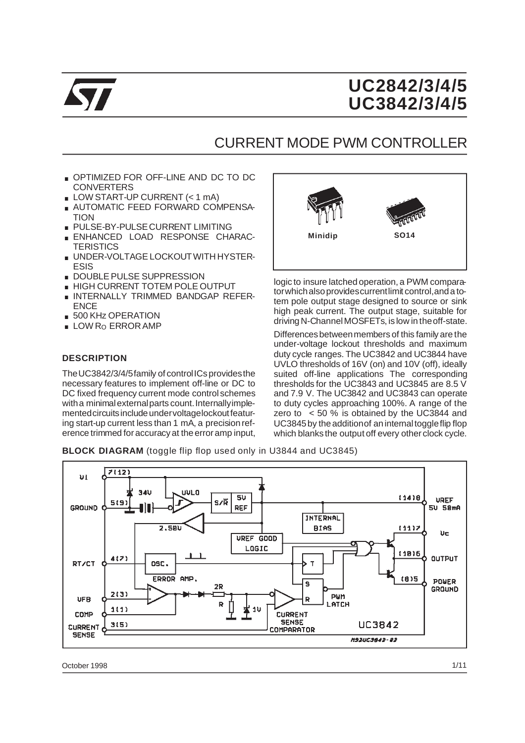

# **UC2842/3/4/5 UC3842/3/4/5**

## CURRENT MODE PWM CONTROLLER

- . OPTIMIZED FOR OFF-LINE AND DC TO DC **CONVERTERS**
- LOW START-UP CURRENT (< 1 mA)
- **AUTOMATIC FEED FORWARD COMPENSA-TION**
- . PULSE-BY-PULSECURRENT LIMITING
- . ENHANCED LOAD RESPONSE CHARAC-**TERISTICS**
- . UNDER-VOLTAGE LOCKOUTWITH HYSTER-ESIS
- **DOUBLE PULSE SUPPRESSION**
- . HIGH CURRENT TOTEM POLE OUTPUT
- .INTERNALLY TRIMMED BANDGAP REFER-**ENCE** ■ INTERNALLY TRIMM<br>ENCE<br>■ 500 KHz OPERATION<br>■ OW Be EPBOR AME
- ENCE<br>■ 500 KHz OPERATION<br>■ LOW Ro ERROR AMP
- 

#### **DESCRIPTION**

The UC3842/3/4/5family of control ICs provides the necessary features to implement off-line or DC to DC fixed frequency current mode control schemes with a minimal external parts count. Internally implemented circuits include under voltagelockout featuring start-up current less than 1 mA, a precision reference trimmed for accuracy at the erroramp input,



logic to insure latched operation, a PWM comparatorwhichalsoprovidescurrentlimit control,anda totem pole output stage designed to source or sink high peak current. The output stage, suitable for driving N-Channel MOSFETs, is low in the off-state.

Differencesbetweenmembers of this family are the under-voltage lockout thresholds and maximum duty cycle ranges. The UC3842 and UC3844 have UVLO thresholds of 16V (on) and 10V (off), ideally suited off-line applications The corresponding thresholds for the UC3843 and UC3845 are 8.5 V and 7.9 V. The UC3842 and UC3843 can operate to duty cycles approaching 100%. A range of the zero to < 50 % is obtained by the UC3844 and UC3845 by the addition of an internal toggle flip flop which blanks the output off every other clock cycle.

**BLOCK DIAGRAM** (toggle flip flop used only in U3844 and UC3845)



October 1998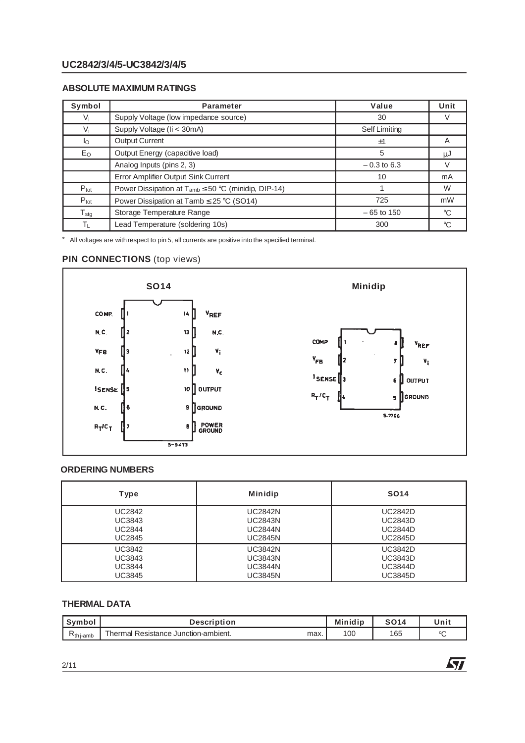#### **UC2842/3/4/5-UC3842/3/4/5**

#### **ABSOLUTE MAXIMUM RATINGS**

| Symbol                     | <b>Parameter</b>                                            | Value         | Unit        |
|----------------------------|-------------------------------------------------------------|---------------|-------------|
| Vi                         | Supply Voltage (low impedance source)                       | 30            |             |
| $V_i$                      | Supply Voltage (li < 30mA)                                  | Self Limiting |             |
| Ιo                         | <b>Output Current</b>                                       | ±1            | A           |
| $E_{\rm O}$                | Output Energy (capacitive load)                             | 5             | ιIJ         |
|                            | Analog Inputs (pins 2, 3)                                   | $-0.3$ to 6.3 |             |
|                            | Error Amplifier Output Sink Current                         | 10            | mA          |
| $P_{\text{tot}}$           | Power Dissipation at $T_{amb} \leq 50$ °C (minidip, DIP-14) |               | W           |
| $P_{\text{tot}}$           | Power Dissipation at Tamb $\leq$ 25 °C (SO14)               | 725           | mW          |
| ${\mathsf T}_{\text{stg}}$ | Storage Temperature Range                                   | $-65$ to 150  | $^{\circ}C$ |
| ΤL                         | Lead Temperature (soldering 10s)                            | 300           | °C          |

\* All voltages are withrespect to pin 5, all currents are positive into the specified terminal.

#### **PIN CONNECTIONS** (top views)



#### **ORDERING NUMBERS**

| Type          | <b>Minidip</b> | <b>SO14</b>    |
|---------------|----------------|----------------|
| <b>UC2842</b> | <b>UC2842N</b> | <b>UC2842D</b> |
| UC3843        | <b>UC2843N</b> | <b>UC2843D</b> |
| <b>UC2844</b> | <b>UC2844N</b> | <b>UC2844D</b> |
| <b>UC2845</b> | <b>UC2845N</b> | <b>UC2845D</b> |
| UC3842        | <b>UC3842N</b> | <b>UC3842D</b> |
| UC3843        | <b>UC3843N</b> | <b>UC3843D</b> |
| <b>UC3844</b> | <b>UC3844N</b> | <b>UC3844D</b> |
| UC3845        | <b>UC3845N</b> | <b>UC3845D</b> |

#### **THERMAL DATA**

| Symbor       | Description                                               | <b>Minidip</b> | <b>CO1.</b> | Unit           |
|--------------|-----------------------------------------------------------|----------------|-------------|----------------|
| $N$ th i-amb | $-1$<br>. Resistance Junction-ambient.<br>⊺hermal<br>max. | 100            | 165         | $\circ$ $\sim$ |

牙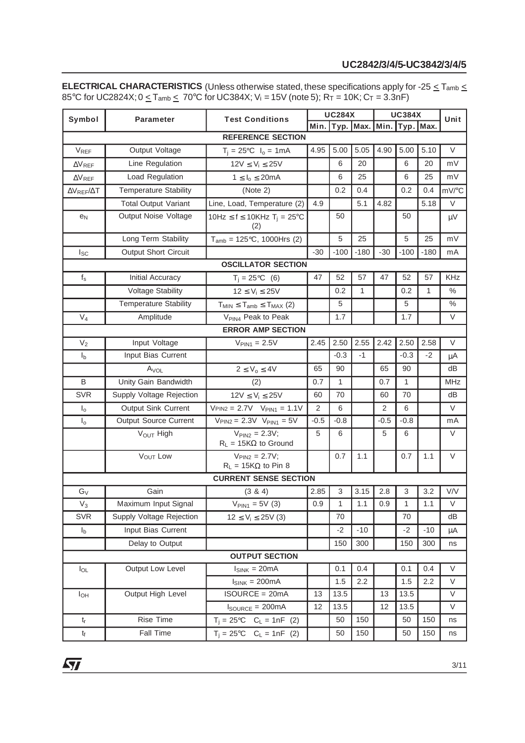#### **UC2842/3/4/5-UC3842/3/4/5**

**ELECTRICAL CHARACTERISTICS** (Unless otherwise stated, these specifications apply for -25 ≤ T<sub>amb</sub> ≤ 85°C for UC2824X; 0  $\le$  Tamb  $\le$  70°C for UC384X; V<sub>i</sub> = 15V (note 5); R<sub>T</sub> = 10K; C<sub>T</sub> = 3.3nF)

| Symbol                      | <b>Parameter</b>             | <b>Test Conditions</b>                                    |        | <b>UC284X</b>                 |        | <b>UC384X</b>  |              |        | Unit    |  |  |
|-----------------------------|------------------------------|-----------------------------------------------------------|--------|-------------------------------|--------|----------------|--------------|--------|---------|--|--|
|                             |                              |                                                           |        | Min. Typ. Max. Min. Typ. Max. |        |                |              |        |         |  |  |
| <b>REFERENCE SECTION</b>    |                              |                                                           |        |                               |        |                |              |        |         |  |  |
| $V_{REF}$                   | Output Voltage               | $T_i = 25^{\circ}C$ $I_0 = 1 \text{mA}$                   | 4.95   | 5.00                          | 5.05   | 5.00<br>4.90   |              | 5.10   | V       |  |  |
| $\Delta V_{REF}$            | Line Regulation              | $12V \le V_i \le 25V$                                     |        | 6                             | 20     |                | 6            | 20     | mV      |  |  |
| $\Delta V_{REF}$            | Load Regulation              | $1 \leq I_0 \leq 20mA$                                    |        | 6                             | 25     |                | 6            | 25     | mV      |  |  |
| $\Delta V_{REF}/\Delta T$   | <b>Temperature Stability</b> | (Note 2)                                                  |        | 0.2                           | 0.4    |                | 0.2          | 0.4    | mV/°C   |  |  |
|                             | <b>Total Output Variant</b>  | Line, Load, Temperature (2)                               | 4.9    |                               | 5.1    | 4.82           |              | 5.18   | $\vee$  |  |  |
| e <sub>N</sub>              | Output Noise Voltage         | 10Hz $\leq$ f $\leq$ 10KHz T <sub>i</sub> = 25°C<br>(2)   |        | 50                            |        |                | 50           |        | $\mu V$ |  |  |
|                             | Long Term Stability          | $T_{amb} = 125$ °C, 1000Hrs (2)                           |        | 5                             | 25     |                | 5            | 25     | mV      |  |  |
| $I_{SC}$                    | <b>Output Short Circuit</b>  | -30                                                       |        | $-100$                        | $-180$ | $-30$          | $-100$       | $-180$ | mA      |  |  |
|                             |                              | <b>OSCILLATOR SECTION</b>                                 |        |                               |        |                |              |        |         |  |  |
| $\mathsf{f}_\mathsf{S}$     | Initial Accuracy             | $T_i = 25^{\circ}C$ (6)                                   | 47     | 52                            | 57     | 47             | 52           | 57     | KHz     |  |  |
|                             | <b>Voltage Stability</b>     | $12 \le V_i \le 25V$                                      |        | 0.2                           | 1      |                | 0.2          | 1      | $\%$    |  |  |
|                             | <b>Temperature Stability</b> | $T_{MIN} \leq T_{amb} \leq T_{MAX}$ (2)                   |        | 5                             |        |                | 5            |        | $\%$    |  |  |
| $V_4$                       | Amplitude                    | V <sub>PIN4</sub> Peak to Peak                            |        | 1.7                           |        |                | 1.7          |        | V       |  |  |
|                             |                              | <b>ERROR AMP SECTION</b>                                  |        |                               |        |                |              |        |         |  |  |
| $\mathsf{V}_2$              | Input Voltage                | $V_{PIN1} = 2.5V$                                         | 2.45   | 2.50                          | 2.55   | 2.42           | 2.50         | 2.58   | V       |  |  |
| I <sub>b</sub>              | Input Bias Current           |                                                           |        | $-0.3$                        | $-1$   |                | $-0.3$       | $-2$   | μA      |  |  |
|                             | $A_{VOL}$                    | $2 \le V_o \le 4V$                                        | 65     | 90                            |        | 65             | 90           |        | dB      |  |  |
| B                           | Unity Gain Bandwidth         | (2)                                                       | 0.7    | 1                             |        | 0.7            | 1            |        | MHz     |  |  |
| <b>SVR</b>                  | Supply Voltage Rejection     | $12V \le V_i \le 25V$                                     | 60     | 70                            |        | 60             | 70           |        | dB      |  |  |
| $\mathsf{I}_\mathsf{O}$     | Output Sink Current          | $V_{\text{PIN2}} = 2.7V$ $V_{\text{PIN1}} = 1.1V$         | 2      | 6                             |        | $\overline{2}$ | 6            |        | $\vee$  |  |  |
| $I_{o}$                     | <b>Output Source Current</b> | $V_{\text{PIN2}} = 2.3V$ $V_{\text{PIN1}} = 5V$           | $-0.5$ | $-0.8$                        |        | $-0.5$         | $-0.8$       |        | mA      |  |  |
|                             | V <sub>OUT</sub> High        | $V_{\text{PIN2}} = 2.3V$ ;<br>$R_L = 15K\Omega$ to Ground | 5      | 6                             |        | 5              | 6            |        | V       |  |  |
|                             | <b>VOUT LOW</b>              | $V_{\text{PIN2}} = 2.7V$ ;<br>$R_L = 15K\Omega$ to Pin 8  |        | 0.7                           | 1.1    |                | 0.7          | 1.1    | $\vee$  |  |  |
|                             |                              | <b>CURRENT SENSE SECTION</b>                              |        |                               |        |                |              |        |         |  |  |
| $G_V$                       | Gain                         | $(3 \& 4)$                                                | 2.85   | 3                             | 3.15   | 2.8            | 3            | 3.2    | V/V     |  |  |
| $\mathsf{V}_3$              | Maximum Input Signal         | $V_{PIN1} = 5V(3)$                                        | 0.9    | $\mathbf{1}$                  | 1.1    | 0.9            | $\mathbf{1}$ | 1.1    | $\vee$  |  |  |
| <b>SVR</b>                  | Supply Voltage Rejection     | $12 \le V_i \le 25V(3)$                                   |        | 70                            |        |                | 70           |        | dB      |  |  |
| I <sub>b</sub>              | Input Bias Current           |                                                           |        | $-2$                          | $-10$  |                | $-2$         | $-10$  | $\mu$ A |  |  |
|                             | Delay to Output              |                                                           |        | 150                           | 300    |                | 150          | 300    | ns      |  |  |
|                             |                              | <b>OUTPUT SECTION</b>                                     |        |                               |        |                |              |        |         |  |  |
| $I_{OL}$                    | Output Low Level             | $I_{SINK} = 20mA$                                         |        | 0.1                           | 0.4    |                | 0.1          | 0.4    | $\vee$  |  |  |
|                             |                              | $I_{SINK} = 200mA$                                        |        | 1.5                           | 2.2    |                | 1.5          | 2.2    | V       |  |  |
| $I_{OH}$                    | Output High Level            | <b>ISOURCE = 20mA</b>                                     | 13     | 13.5                          |        | 13             | 13.5         |        | $\vee$  |  |  |
|                             |                              | $I_{\text{SOURCE}} = 200 \text{mA}$                       | 12     | 13.5                          |        | 12             | 13.5         |        | V       |  |  |
| $\mathsf{t}_{\mathsf{r}}$   | Rise Time                    | $T_i = 25^{\circ}C$ $C_L = 1nF$ (2)                       |        | 50                            | 150    |                | 50           | 150    | ns      |  |  |
| $\mathfrak{t}_{\mathsf{f}}$ | Fall Time                    | $T_i = 25^{\circ}C$ $C_L = 1nF$ (2)                       |        | 50                            | 150    |                | 50           | 150    | ns      |  |  |

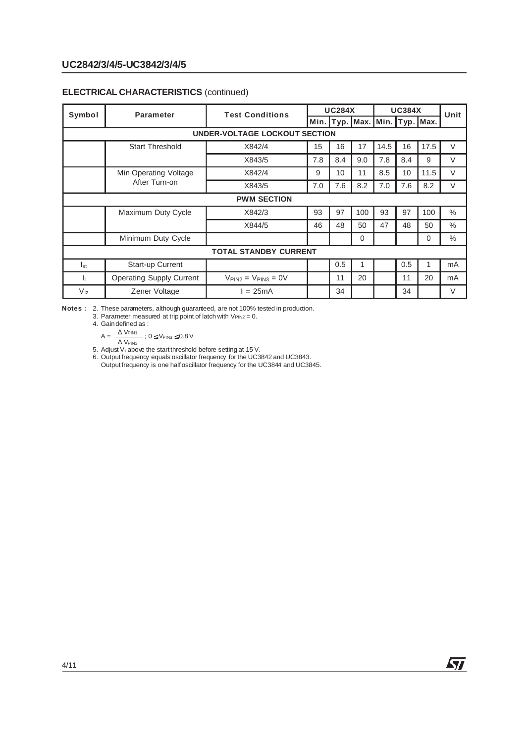#### **ELECTRICAL CHARACTERISTICS** (continued)

| Symbol             | <b>Parameter</b>                | <b>Test Conditions</b>                   |     | <b>UC284X</b>                 |     | <b>UC384X</b> |     |      | Unit          |
|--------------------|---------------------------------|------------------------------------------|-----|-------------------------------|-----|---------------|-----|------|---------------|
|                    |                                 |                                          |     | Min. Typ. Max. Min. Typ. Max. |     |               |     |      |               |
|                    | UNDER-VOLTAGE LOCKOUT SECTION   |                                          |     |                               |     |               |     |      |               |
|                    | <b>Start Threshold</b>          | X842/4                                   | 15  | 16                            | 17  | 14.5          | 16  | 17.5 | $\vee$        |
|                    |                                 | X843/5                                   | 7.8 | 8.4                           | 9.0 | 7.8           | 8.4 | 9    | V             |
|                    | Min Operating Voltage           | X842/4                                   | 9   | 10                            | 11  | 8.5           | 10  | 11.5 | $\vee$        |
|                    | After Turn-on                   | X843/5                                   | 7.0 | 7.6                           | 8.2 | 7.0           | 7.6 | 8.2  | V             |
| <b>PWM SECTION</b> |                                 |                                          |     |                               |     |               |     |      |               |
|                    | Maximum Duty Cycle              | X842/3                                   | 93  | 97                            | 100 | 93            | 97  | 100  | $\%$          |
|                    |                                 | X844/5                                   | 46  | 48                            | 50  | 47            | 48  | 50   | $\%$          |
|                    | Minimum Duty Cycle              |                                          |     |                               | 0   |               |     | 0    | $\frac{0}{0}$ |
|                    |                                 | <b>TOTAL STANDBY CURRENT</b>             |     |                               |     |               |     |      |               |
| <sup>1</sup> st    | <b>Start-up Current</b>         |                                          |     | 0.5                           | 1   |               | 0.5 |      | mA            |
| Ιï.                | <b>Operating Supply Current</b> | $V_{\text{PIN2}} = V_{\text{PIN3}} = 0V$ |     | 11                            | 20  |               | 11  | 20   | mA            |
| $V_{iz}$           | Zener Voltage                   | $I_i = 25mA$                             |     | 34                            |     |               | 34  |      | V             |

Notes : 2. These parameters, although guaranteed, are not 100% tested in production.

3. Parameter measured at trip point of latch with  $V_{\text{PIN2}} = 0$ .<br>4. Gain defined as :

4. Gain defined as : 
$$
\Delta
$$

$$
A = \frac{\Delta V_{\text{PIN1}}}{\Delta V_{\text{PIN3}}} \div 0 \leq V_{\text{PIN3}} \leq 0.8 V
$$

5. Adjust  $V_i$  above the start threshold before setting at 15 V.

6. Output frequency equals oscillator frequency for the UC3842 and UC3843. Output frequency is one half oscillator frequency for the UC3844 and UC3845.

57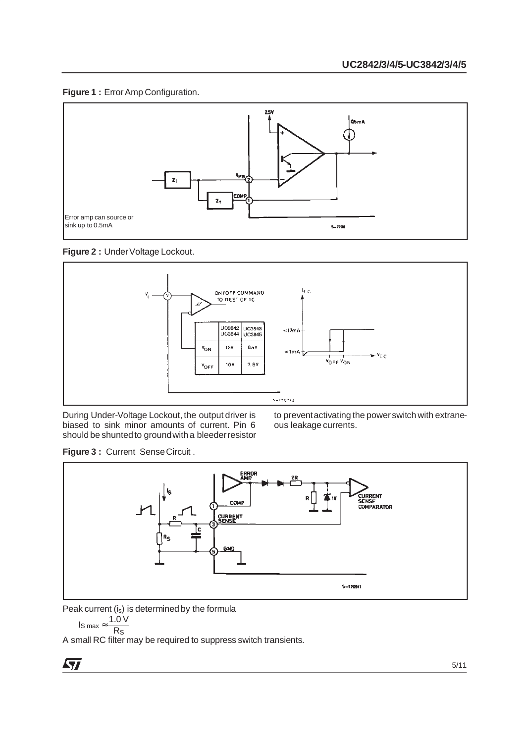



**Figure 2 : Under Voltage Lockout.** 



During Under-Voltage Lockout, the output driver is biased to sink minor amounts of current. Pin 6 should be shuntedto groundwith a bleederresistor to preventactivating the powerswitch with extraneous leakage currents.

Figure 3 : Current Sense Circuit .



Peak current (is) is determined by the formula

$$
I_S \max \approx \frac{1.0 \text{ V}}{R_S}
$$

$$
max = \frac{R_1}{R_1}
$$

A small RC filter may be required to suppress switch transients.

$$
\overline{\mathbf{M}}
$$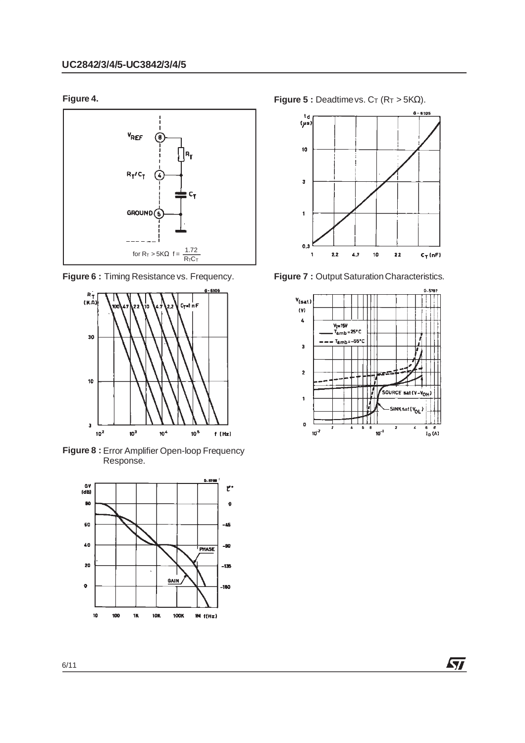





**Figure 8 :** Error Amplifier Open-loop Frequency Response.



**Figure 4. Figure 5 :** Deadtime vs.  $C_T$  ( $R_T > 5K\Omega$ ).



**Figure 6 :** Timing Resistance vs. Frequency. **Figure 7 :** Output Saturation Characteristics.



牙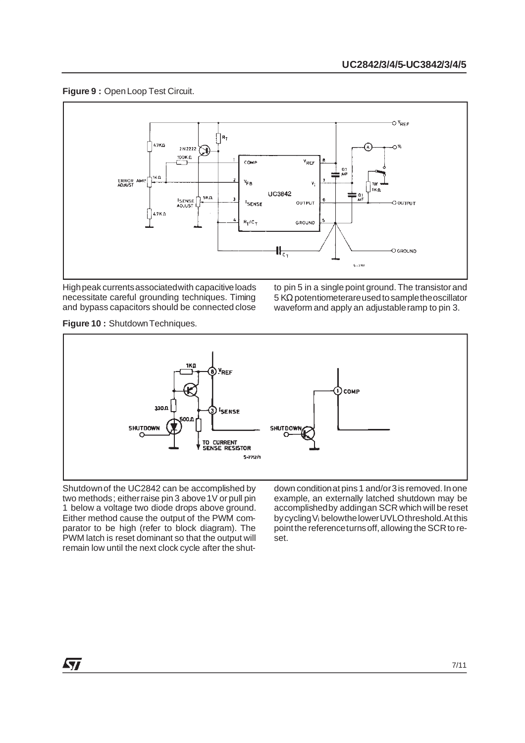#### **Figure 9 :** OpenLoop Test Circuit.



Highpeak currentsassociatedwith capacitiveloads necessitate careful grounding techniques. Timing and bypass capacitors should be connected close to pin 5 in a single point ground. The transistor and 5 KΩ potentiometerareusedtosampletheoscillator waveform and apply an adjustableramp to pin 3.

**Figure 10 :** ShutdownTechniques.



Shutdownof the UC2842 can be accomplished by two methods; eitherraise pin 3 above1V or pull pin 1 below a voltage two diode drops above ground. Either method cause the output of the PWM comparator to be high (refer to block diagram). The PWM latch is reset dominant so that the output will remain low until the next clock cycle after the shutdown condition at pins 1 and/or3 is removed. In one example, an externally latched shutdown may be accomplishedby addingan SCR which will be reset bycyclingVi belowthelowerUVLOthreshold.At this point the reference turns off, allowing the SCR to reset.

ky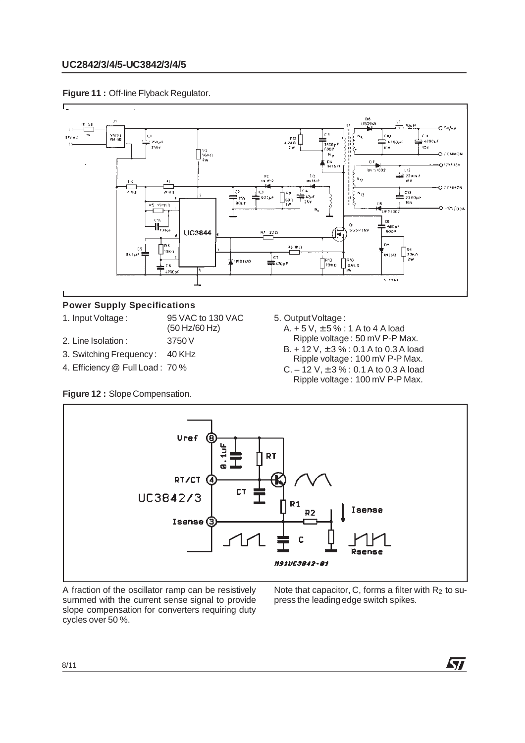



#### **Power Supply Specifications**

- 1. Input Voltage : 95 VAC to 130 VAC (50 Hz/60 Hz)
- 2. Line Isolation : 3750 V
- 3. Switching Frequency : 40 KHz
- 
- 4. Efficiency @ Full Load : 70 %
- **Figure 12 :** Slope Compensation.
- 5. Output Voltage:
	- A.  $+ 5 V$ ,  $\pm 5 \%$  : 1 A to 4 A load Ripple voltage : 50 mV P-P Max.
	- $B. + 12$  V,  $\pm 3$  % : 0.1 A to 0.3 A load Ripple voltage : 100 mV P-P Max.
	- C.  $-12$  V,  $\pm 3$  % : 0.1 A to 0.3 A load Ripple voltage : 100 mV P-P Max.



A fraction of the oscillator ramp can be resistively summed with the current sense signal to provide slope compensation for converters requiring duty cycles over 50 %.

Note that capacitor, C, forms a filter with  $R_2$  to supress the leading edge switch spikes.

**ST**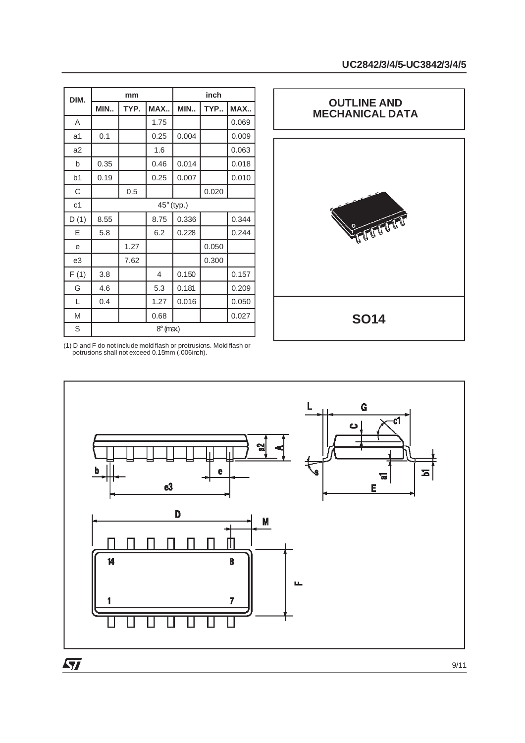| DIM.           |                 | mm   |                |                   | inch  |       |  |
|----------------|-----------------|------|----------------|-------------------|-------|-------|--|
|                | MIN             | TYP. | MAX            | MIN               | TYP   | MAX   |  |
| A              |                 |      | 1.75           |                   |       | 0.069 |  |
| a <sub>1</sub> | 0.1             |      | 0.25           | 0.004             |       | 0.009 |  |
| a2             |                 |      | 1.6            |                   |       | 0.063 |  |
| b              | 0.35            |      | 0.46           | 0.014             |       | 0.018 |  |
| b <sub>1</sub> | 0.19            |      | 0.25           | 0.007             |       | 0.010 |  |
| C              |                 | 0.5  |                |                   | 0.020 |       |  |
| c <sub>1</sub> |                 |      |                | $45^\circ$ (typ.) |       |       |  |
| D(1)           | 8.55            |      | 8.75           | 0.336             |       | 0.344 |  |
| Ε              | 5.8             |      | 6.2            | 0.228             |       | 0.244 |  |
| e              |                 | 1.27 |                |                   | 0.050 |       |  |
| e3             |                 | 7.62 |                |                   | 0.300 |       |  |
| F(1)           | 3.8             |      | $\overline{4}$ | 0.150             |       | 0.157 |  |
| G              | 4.6             |      | 5.3            | 0.181             |       | 0.209 |  |
| L              | 0.4             |      | 1.27           | 0.016             |       | 0.050 |  |
| M              |                 |      | 0.68           |                   |       | 0.027 |  |
| S              | $8^\circ$ (max) |      |                |                   |       |       |  |



<sup>(1)</sup> D and F do not include mold flash or protrusions. Mold flash or potrusions shall not exceed 0.15mm (.006inch).

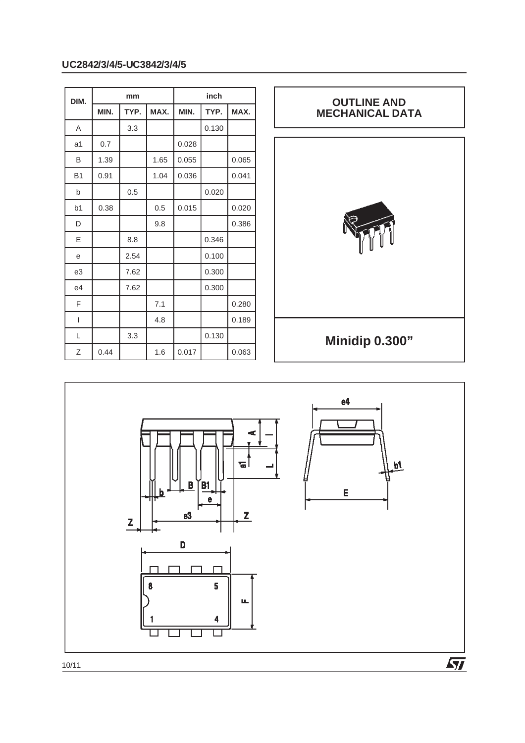### **UC2842/3/4/5-UC3842/3/4/5**

| DIM.      |      | mm   |      |       | inch  |       |
|-----------|------|------|------|-------|-------|-------|
|           | MIN. | TYP. | MAX. | MIN.  | TYP.  | MAX.  |
| A         |      | 3.3  |      |       | 0.130 |       |
| a1        | 0.7  |      |      | 0.028 |       |       |
| B         | 1.39 |      | 1.65 | 0.055 |       | 0.065 |
| <b>B1</b> | 0.91 |      | 1.04 | 0.036 |       | 0.041 |
| b         |      | 0.5  |      |       | 0.020 |       |
| b1        | 0.38 |      | 0.5  | 0.015 |       | 0.020 |
| D         |      |      | 9.8  |       |       | 0.386 |
| E         |      | 8.8  |      |       | 0.346 |       |
| e         |      | 2.54 |      |       | 0.100 |       |
| e3        |      | 7.62 |      |       | 0.300 |       |
| e4        |      | 7.62 |      |       | 0.300 |       |
| F         |      |      | 7.1  |       |       | 0.280 |
| I         |      |      | 4.8  |       |       | 0.189 |
| L         |      | 3.3  |      |       | 0.130 |       |
| Ζ         | 0.44 |      | 1.6  | 0.017 |       | 0.063 |